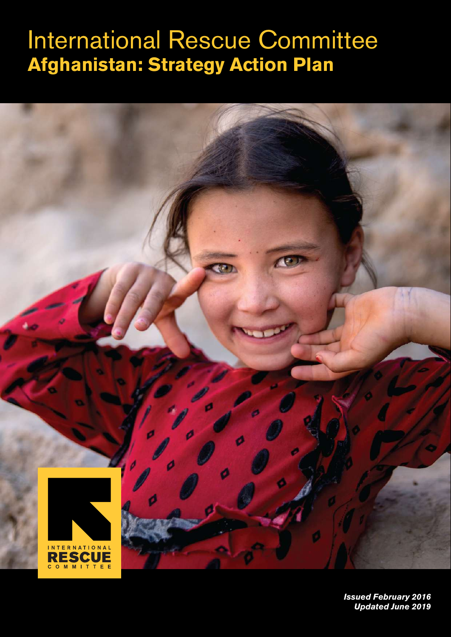# International Rescue Committee **Afghanistan: Strategy Action Plan**



*Issued February 2016 Updated June 2019*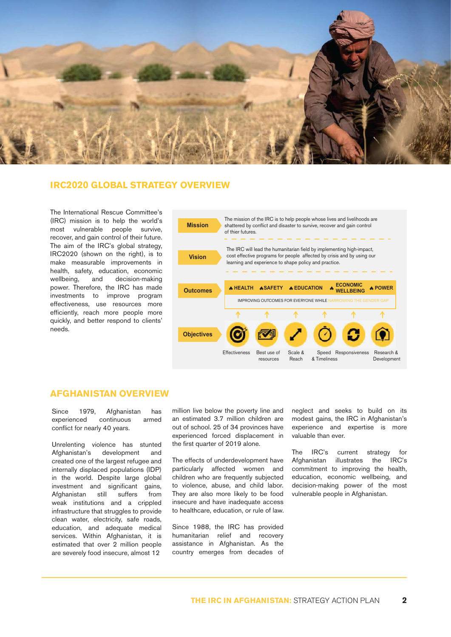

#### **IRC2020 GLOBAL STRATEGY OVERVIEW**

The International Rescue Committee's (IRC) mission is to help the world's most vulnerable people survive, recover, and gain control of their future. The aim of the IRC's global strategy, IRC2020 (shown on the right), is to make measurable improvements in health, safety, education, economic<br>wellbeing, and decision-making wellbeing, and decision-making power. Therefore, the IRC has made investments to improve program effectiveness, use resources more efficiently, reach more people more quickly, and better respond to clients' needs.



#### **AFGHANISTAN OVERVIEW**

Since 1979, Afghanistan has experienced continuous armed conflict for nearly 40 years.

Unrelenting violence has stunted Afghanistan's development and created one of the largest refugee and internally displaced populations (IDP) in the world. Despite large global investment and significant gains, Afghanistan still suffers from weak institutions and a crippled infrastructure that struggles to provide clean water, electricity, safe roads, education, and adequate medical services. Within Afghanistan, it is estimated that over 2 million people are severely food insecure, almost 12

million live below the poverty line and an estimated 3.7 million children are out of school. 25 of 34 provinces have experienced forced displacement in the first quarter of 2019 alone.

The effects of underdevelopment have particularly affected women and children who are frequently subjected to violence, abuse, and child labor. They are also more likely to be food insecure and have inadequate access to healthcare, education, or rule of law.

Since 1988, the IRC has provided humanitarian relief and recovery assistance in Afghanistan. As the country emerges from decades of

neglect and seeks to build on its modest gains, the IRC in Afghanistan's experience and expertise is more valuable than ever.

The IRC's current strategy for Afghanistan illustrates the IRC's commitment to improving the health, education, economic wellbeing, and decision-making power of the most vulnerable people in Afghanistan.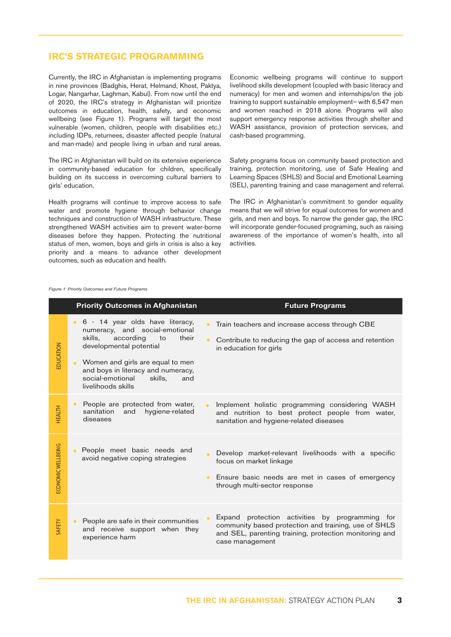### **IRC'S STRATEGIC PROGRAMMING**

Currently, the IRC in Afghanistan is implementing programs in nine provinces (Badghis, Herat, Helmand, Khost, Paktya, Logar, Nangarhar, Laghman, Kabul). From now until the end of 2020, the IRC's strategy in Afghanistan will prioritize outcomes in education, health, safety, and economic wellbeing (see Figure 1). Programs will target the most vulnerable (women, children, people with disabilities etc.) including IDPs, returnees, disaster affected people (natural and man-made) and people living in urban and rural areas.

The IRC in Afghanistan will build on its extensive experience in community-based education for children, specifically building on its success in overcoming cultural barriers to girls' education.

Health programs will continue to improve access to safe water and promote hygiene through behavior change techniques and construction of WASH infrastructure. These strengthened WASH activities aim to prevent water-borne diseases before they happen. Protecting the nutritional status of men, women, boys and girls in crisis is also a key priority and a means to advance other development outcomes, such as education and health.

Economic wellbeing programs will continue to support livelihood skills development (coupled with basic literacy and numeracy) for men and women and internships/on the job training to support sustainable employment– with 6,547 men and women reached in 2018 alone. Programs will also support emergency response activities through shelter and WASH assistance, provision of protection services, and cash-based programming.

Safety programs focus on community based protection and training, protection monitoring, use of Safe Healing and Learning Spaces (SHLS) and Social and Emotional Learning (SEL), parenting training and case management and referral.

The IRC in Afghanistan's commitment to gender equality means that we will strive for equal outcomes for women and girls, and men and boys. To narrow the gender gap, the IRC will incorporate gender-focused programing, such as raising awareness of the importance of women's health, into all activities.

*Figure 1: Priority Outcomes and Future Programs* 

| <b>Priority Outcomes in Afghanistan</b> |                                                                                                                                                                                                                                                                                          | <b>Future Programs</b>                                                                                                                                                               |
|-----------------------------------------|------------------------------------------------------------------------------------------------------------------------------------------------------------------------------------------------------------------------------------------------------------------------------------------|--------------------------------------------------------------------------------------------------------------------------------------------------------------------------------------|
| EDUCATION                               | • 6 - 14 year olds have literacy,<br>numeracy, and social-emotional<br>skills,<br>according<br>their<br>to<br>developmental potential<br>Women and girls are equal to men<br>$\bullet$<br>and boys in literacy and numeracy,<br>social-emotional<br>skills,<br>and<br>livelihoods skills | Train teachers and increase access through CBE<br>Contribute to reducing the gap of access and retention<br>in education for girls                                                   |
| <b>HEALTH</b>                           | People are protected from water,<br>$\bullet$<br>sanitation<br>hygiene-related<br>and<br>diseases                                                                                                                                                                                        | Implement holistic programming considering WASH<br>$\bullet$<br>and nutrition to best protect people from water,<br>sanitation and hygiene-related diseases                          |
| ECONOMIC WELLBEING                      | People meet basic needs and<br>avoid negative coping strategies                                                                                                                                                                                                                          | Develop market-relevant livelihoods with a specific<br>focus on market linkage<br>Ensure basic needs are met in cases of emergency<br>through multi-sector response                  |
| SAFETY                                  | People are safe in their communities<br>and receive support when they<br>experience harm                                                                                                                                                                                                 | Expand protection activities by programming for<br>community based protection and training, use of SHLS<br>and SEL, parenting training, protection monitoring and<br>case management |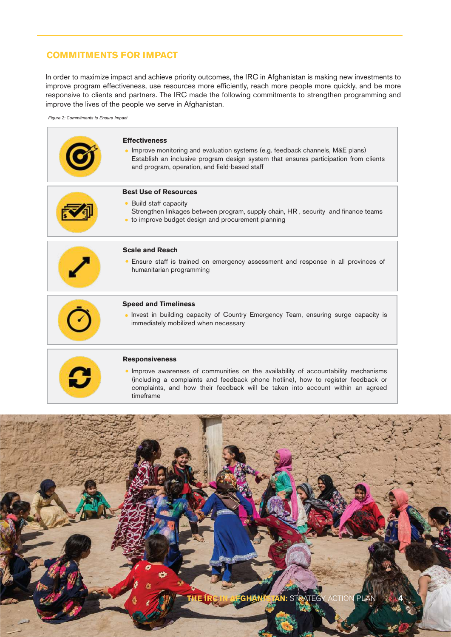### **COMMITMENTS FOR IMPACT**

In order to maximize impact and achieve priority outcomes, the IRC in Afghanistan is making new investments to improve program effectiveness, use resources more efficiently, reach more people more quickly, and be more responsive to clients and partners. The IRC made the following commitments to strengthen programming and improve the lives of the people we serve in Afghanistan.

*Figure 2: Commitments to Ensure Impact*



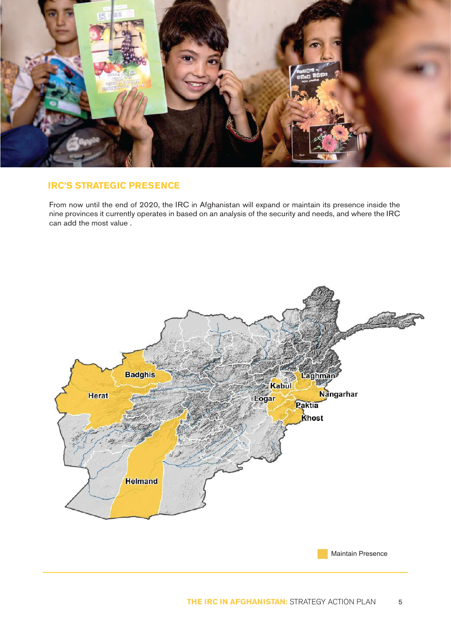

### **IRC'S STRATEGIC PRESENCE**

From now until the end of 2020, the IRC in Afghanistan will expand or maintain its presence inside the nine provinces it currently operates in based on an analysis of the security and needs, and where the IRC can add the most value .



Maintain Presence